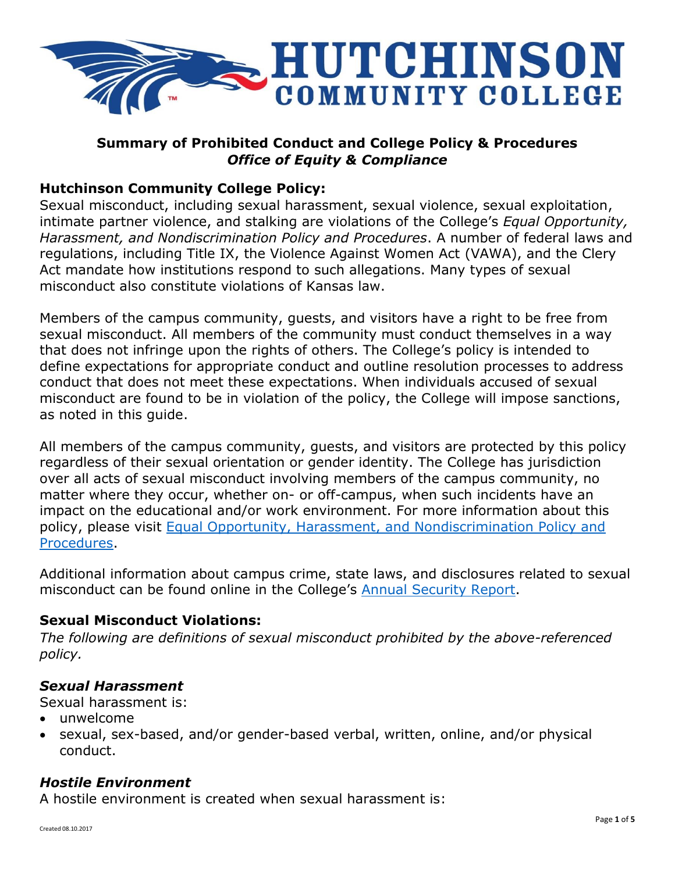

# **Summary of Prohibited Conduct and College Policy & Procedures** *Office of Equity & Compliance*

## **Hutchinson Community College Policy:**

Sexual misconduct, including sexual harassment, sexual violence, sexual exploitation, intimate partner violence, and stalking are violations of the College's *Equal Opportunity, Harassment, and Nondiscrimination Policy and Procedures*. A number of federal laws and regulations, including Title IX, the Violence Against Women Act (VAWA), and the Clery Act mandate how institutions respond to such allegations. Many types of sexual misconduct also constitute violations of Kansas law.

Members of the campus community, guests, and visitors have a right to be free from sexual misconduct. All members of the community must conduct themselves in a way that does not infringe upon the rights of others. The College's policy is intended to define expectations for appropriate conduct and outline resolution processes to address conduct that does not meet these expectations. When individuals accused of sexual misconduct are found to be in violation of the policy, the College will impose sanctions, as noted in this guide.

All members of the campus community, guests, and visitors are protected by this policy regardless of their sexual orientation or gender identity. The College has jurisdiction over all acts of sexual misconduct involving members of the campus community, no matter where they occur, whether on- or off-campus, when such incidents have an impact on the educational and/or work environment. For more information about this policy, please visit [Equal Opportunity, Harassment, and Nondiscrimination Policy and](http://www.hutchcc.edu/equity)  [Procedures.](http://www.hutchcc.edu/equity)

Additional information about campus crime, state laws, and disclosures related to sexual misconduct can be found online in the College's [Annual Security Report.](http://www.hutchcc.edu/docs/Equity-and-compliance/security-report/Annual-Security-and-Fire-Safety-Report.pdf)

## **Sexual Misconduct Violations:**

*The following are definitions of sexual misconduct prohibited by the above-referenced policy.*

### *Sexual Harassment*

Sexual harassment is:

- unwelcome
- sexual, sex-based, and/or gender-based verbal, written, online, and/or physical conduct.

### *Hostile Environment*

A hostile environment is created when sexual harassment is: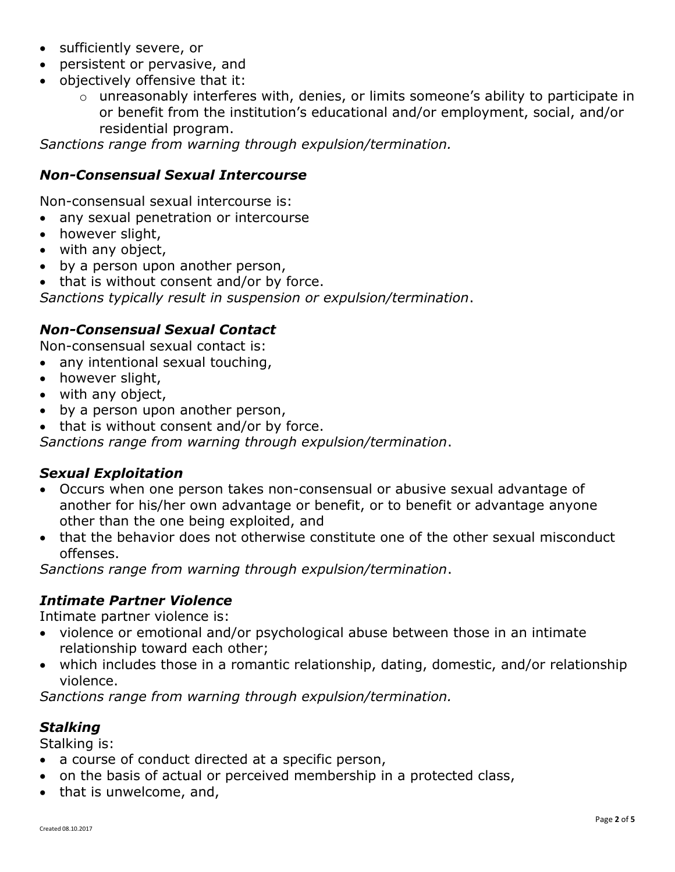- sufficiently severe, or
- persistent or pervasive, and
- objectively offensive that it:
	- o unreasonably interferes with, denies, or limits someone's ability to participate in or benefit from the institution's educational and/or employment, social, and/or residential program.

*Sanctions range from warning through expulsion/termination.*

### *Non-Consensual Sexual Intercourse*

Non-consensual sexual intercourse is:

- any sexual penetration or intercourse
- however slight,
- with any object,
- by a person upon another person,

• that is without consent and/or by force.

*Sanctions typically result in suspension or expulsion/termination*.

### *Non-Consensual Sexual Contact*

Non-consensual sexual contact is:

- any intentional sexual touching,
- however slight,
- with any object,
- by a person upon another person,
- that is without consent and/or by force.

*Sanctions range from warning through expulsion/termination*.

#### *Sexual Exploitation*

- Occurs when one person takes non-consensual or abusive sexual advantage of another for his/her own advantage or benefit, or to benefit or advantage anyone other than the one being exploited, and
- that the behavior does not otherwise constitute one of the other sexual misconduct offenses.

*Sanctions range from warning through expulsion/termination*.

#### *Intimate Partner Violence*

Intimate partner violence is:

- violence or emotional and/or psychological abuse between those in an intimate relationship toward each other;
- which includes those in a romantic relationship, dating, domestic, and/or relationship violence.

*Sanctions range from warning through expulsion/termination.*

### *Stalking*

Stalking is:

- a course of conduct directed at a specific person,
- on the basis of actual or perceived membership in a protected class,
- that is unwelcome, and,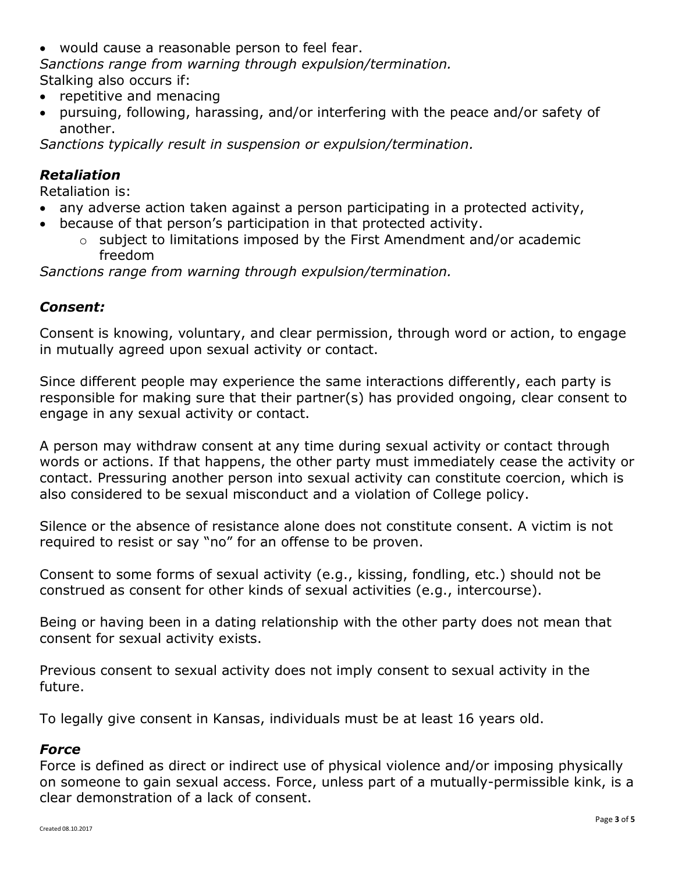would cause a reasonable person to feel fear.

*Sanctions range from warning through expulsion/termination.* Stalking also occurs if:

- repetitive and menacing
- pursuing, following, harassing, and/or interfering with the peace and/or safety of another.

*Sanctions typically result in suspension or expulsion/termination.*

## *Retaliation*

Retaliation is:

- any adverse action taken against a person participating in a protected activity,
- because of that person's participation in that protected activity.
	- o subject to limitations imposed by the First Amendment and/or academic freedom

*Sanctions range from warning through expulsion/termination.*

#### *Consent:*

Consent is knowing, voluntary, and clear permission, through word or action, to engage in mutually agreed upon sexual activity or contact.

Since different people may experience the same interactions differently, each party is responsible for making sure that their partner(s) has provided ongoing, clear consent to engage in any sexual activity or contact.

A person may withdraw consent at any time during sexual activity or contact through words or actions. If that happens, the other party must immediately cease the activity or contact. Pressuring another person into sexual activity can constitute coercion, which is also considered to be sexual misconduct and a violation of College policy.

Silence or the absence of resistance alone does not constitute consent. A victim is not required to resist or say "no" for an offense to be proven.

Consent to some forms of sexual activity (e.g., kissing, fondling, etc.) should not be construed as consent for other kinds of sexual activities (e.g., intercourse).

Being or having been in a dating relationship with the other party does not mean that consent for sexual activity exists.

Previous consent to sexual activity does not imply consent to sexual activity in the future.

To legally give consent in Kansas, individuals must be at least 16 years old.

#### *Force*

Force is defined as direct or indirect use of physical violence and/or imposing physically on someone to gain sexual access. Force, unless part of a mutually-permissible kink, is a clear demonstration of a lack of consent.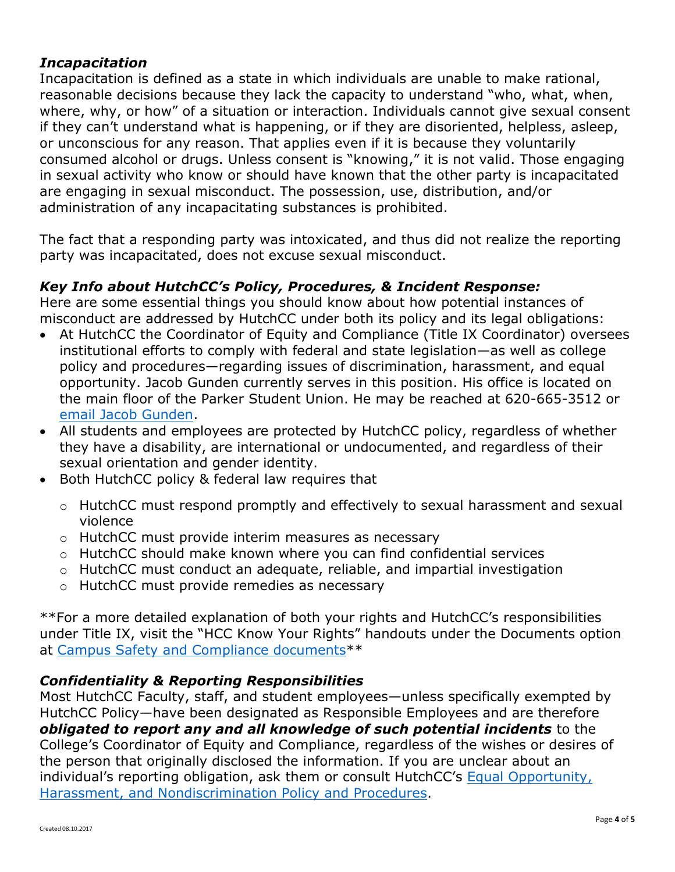## *Incapacitation*

Incapacitation is defined as a state in which individuals are unable to make rational, reasonable decisions because they lack the capacity to understand "who, what, when, where, why, or how" of a situation or interaction. Individuals cannot give sexual consent if they can't understand what is happening, or if they are disoriented, helpless, asleep, or unconscious for any reason. That applies even if it is because they voluntarily consumed alcohol or drugs. Unless consent is "knowing," it is not valid. Those engaging in sexual activity who know or should have known that the other party is incapacitated are engaging in sexual misconduct. The possession, use, distribution, and/or administration of any incapacitating substances is prohibited.

The fact that a responding party was intoxicated, and thus did not realize the reporting party was incapacitated, does not excuse sexual misconduct.

## *Key Info about HutchCC's Policy, Procedures, & Incident Response:*

Here are some essential things you should know about how potential instances of misconduct are addressed by HutchCC under both its policy and its legal obligations:

- At HutchCC the Coordinator of Equity and Compliance (Title IX Coordinator) oversees institutional efforts to comply with federal and state legislation—as well as college policy and procedures—regarding issues of discrimination, harassment, and equal opportunity. Jacob Gunden currently serves in this position. His office is located on the main floor of the Parker Student Union. He may be reached at 620-665-3512 or [email Jacob Gunden.](mailto:gundenj@hutchcc.edu)
- All students and employees are protected by HutchCC policy, regardless of whether they have a disability, are international or undocumented, and regardless of their sexual orientation and gender identity.
- Both HutchCC policy & federal law requires that
	- o HutchCC must respond promptly and effectively to sexual harassment and sexual violence
	- o HutchCC must provide interim measures as necessary
	- o HutchCC should make known where you can find confidential services
	- o HutchCC must conduct an adequate, reliable, and impartial investigation
	- o HutchCC must provide remedies as necessary

\*\*For a more detailed explanation of both your rights and HutchCC's responsibilities under Title IX, visit the "HCC Know Your Rights" handouts under the Documents option at [Campus Safety and Compliance documents\\*](http://www.hutchcc.edu/administration/campus-safety-and-compliance/)\*

### *Confidentiality & Reporting Responsibilities*

Most HutchCC Faculty, staff, and student employees—unless specifically exempted by HutchCC Policy—have been designated as Responsible Employees and are therefore *obligated to report any and all knowledge of such potential incidents* to the College's Coordinator of Equity and Compliance, regardless of the wishes or desires of the person that originally disclosed the information. If you are unclear about an individual's reporting obligation, ask them or consult HutchCC's [Equal Opportunity,](http://www.hutchcc.edu/equity)  [Harassment, and Nondiscrimination Policy and Procedures.](http://www.hutchcc.edu/equity)